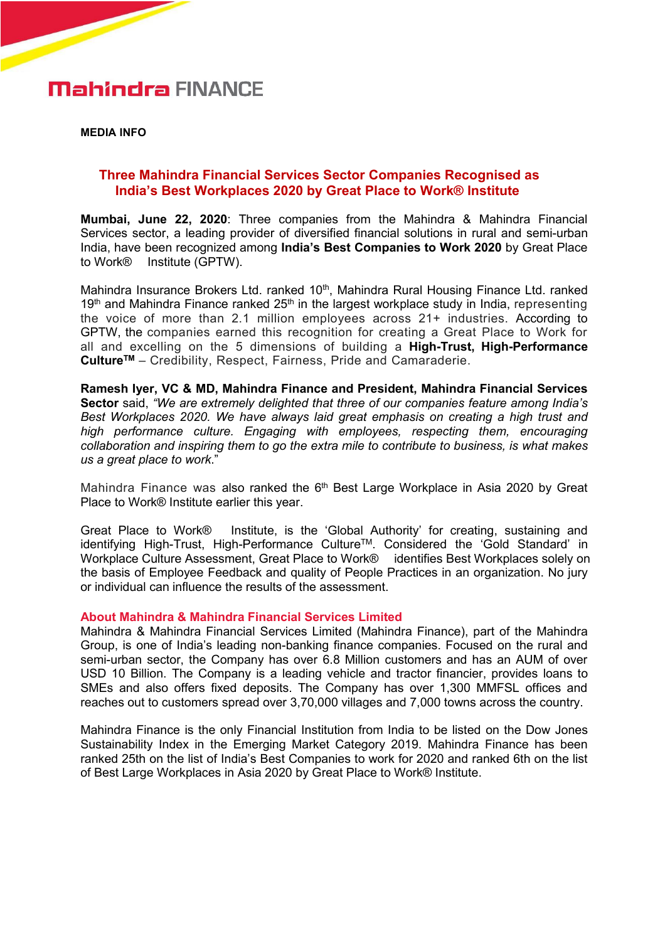

# **Mahindra FINANCE**

**MEDIA INFO**

## **Three Mahindra Financial Services Sector Companies Recognised as India's Best Workplaces 2020 by Great Place to Work® Institute**

**Mumbai, June 22, 2020**: Three companies from the Mahindra & Mahindra Financial Services sector, a leading provider of diversified financial solutions in rural and semi-urban India, have been recognized among **India's Best Companies to Work 2020** by Great Place to Work® Institute (GPTW).

Mahindra Insurance Brokers Ltd. ranked 10<sup>th</sup>, Mahindra Rural Housing Finance Ltd. ranked 19<sup>th</sup> and Mahindra Finance ranked 25<sup>th</sup> in the largest workplace study in India, representing the voice of more than 2.1 million employees across 21+ industries. According to GPTW, the companies earned this recognition for creating a Great Place to Work for all and excelling on the 5 dimensions of building a **High-Trust, High-Performance Culture TM** – Credibility, Respect, Fairness, Pride and Camaraderie.

**Ramesh Iyer, VC & MD, Mahindra Finance and President, Mahindra Financial Services Sector** said, *"We are extremely delighted that three of our companies feature among India's Best Workplaces 2020. We have always laid great emphasis on creating a high trust and high performance culture. Engaging with employees, respecting them, encouraging collaboration and inspiring them to go the extra mile to contribute to business, is what makes us a great place to work*."

Mahindra Finance was also ranked the 6<sup>th</sup> Best Large Workplace in Asia 2020 by Great Place to Work® Institute earlier this year.

Great Place to Work® Institute, is the 'Global Authority' for creating, sustaining and identifying High-Trust, High-Performance Culture TM. Considered the 'Gold Standard' in Workplace Culture Assessment, Great Place to Work® identifies Best Workplaces solely on the basis of Employee Feedback and quality of People Practices in an organization. No jury or individual can influence the results of the assessment.

#### **About Mahindra & Mahindra Financial Services Limited**

Mahindra & Mahindra Financial Services Limited (Mahindra Finance), part of the Mahindra Group, is one of India's leading non-banking finance companies. Focused on the rural and semi-urban sector, the Company has over 6.8 Million customers and has an AUM of over USD 10 Billion. The Company is a leading vehicle and tractor financier, provides loans to SMEs and also offers fixed deposits. The Company has over 1,300 MMFSL offices and reaches out to customers spread over 3,70,000 villages and 7,000 towns across the country.

Mahindra Finance isthe only Financial Institution from India to be listed on the Dow Jones Sustainability Index in the Emerging Market Category 2019. Mahindra Finance has been ranked 25th on the list of India's Best Companies to work for 2020 and ranked 6th on the list of Best Large Workplaces in Asia 2020 by Great Place to Work® Institute.